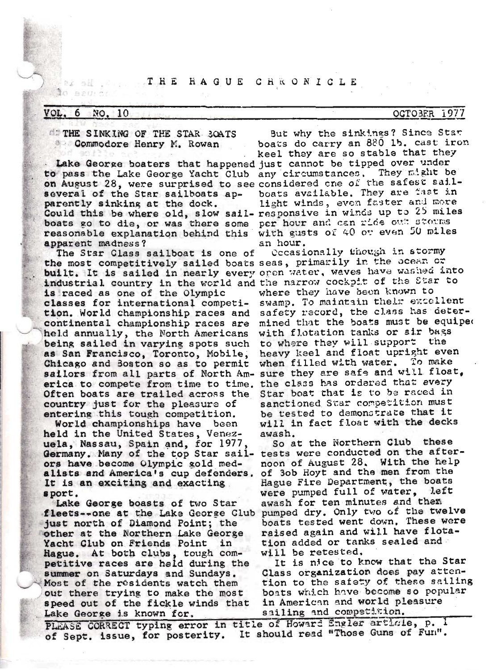# **AZ BE ALL THE HAGUE CHRONICLE**

#### VOL. NO. 10 6

C 百岁(7) ペナ

**STHE SINKING OF THE STAR SOATS** Commodore Henry M. Rowan

Lake George boaters that happened just cannot be tipped over under to pass the Lake George Yacht Club any circumstances. They might be on August 28, were surprised to see considered one of the safest sailseveral of the Star sailboats apparently sinking at the dock. Could this be where old, slow sail- responsive in winds up to 25 miles boats go to die, or was there some per hour and can ride out storms reasonable explanation behind this apparent madness?

The Star Class sailboat is one of the most competitively sailed boats seas, primarily in the ocean or built. It is sailed in nearly every open water, waves have washed into industrial country in the world and the narrow cockpit of the Star to is raced as one of the Olympic classes for international competition. World championship races and continental championship races are held annually, the North Americans being sailed in varying spots such as San Francisco, Toronto, Mobile, Chicago and Boston so as to permit sailors from all parts of North Am- sure they are safe and will float, erica to compete from time to time. Often boats are trailed across the country just for the pleasure of entering this tough competition.

World championships have been held in the United States, Venezuela, Nassau, Spain and, for 1977 Germany. Many of the top Star sailors have become Olympic gold medalists and America's cup defenders. It is an exciting and exacting. sport.

Lake George boasts of two Star fleets--one at the Lake George Club just north of Diamond Point; the other at the Northern Lake George Yacht Club on Friends Point in Hague. At both clubs, tough competitive races are held during the summer on Saturdays and Sundays. Most of the residents watch them out there trying to make the most speed out of the fickle winds that Lake George is known for.

But why the sinkings? Since Star boats do carry an 880 lb. cast iron keel they are so stable that they boats available. They are fast in light winds, even faster and more with gusts of 40 or even 50 miles an hour.

Occasionally though in stormy where they have been known to swamp. To maintain their excellent safety record, the class has determined that the boats must be equiped with flotation tanks or sir bags to where they will support the heavy keel and float upright even when filled with water. To make the class has ordered that every Star boat that is to be raced in sanctioned Star competition must be tested to demonstrate that it will in fact float with the decks awash.

So at the Northern Club these tests were conducted on the afternoon of August 28. With the help of 3ob Hoyt and the men from the Hague Fire Department, the boats were pumped full of water, left awash for ten minutes and them pumped dry. Only two of the twelve boats tested went down, These were raised again and will have flotation added or tanks sealed and will be retested,

It is nice to know that the Star Class organization does pay attention to the safety of these sailing boats which have become so popular in American and world pleasure sailing and competition.

PLEASE CORRECT typing error in title of Howard Engler article, p. 1 of Sept. issue, for posterity. It should read "Those Guns of Fun".

#### **OCTOBER** 1977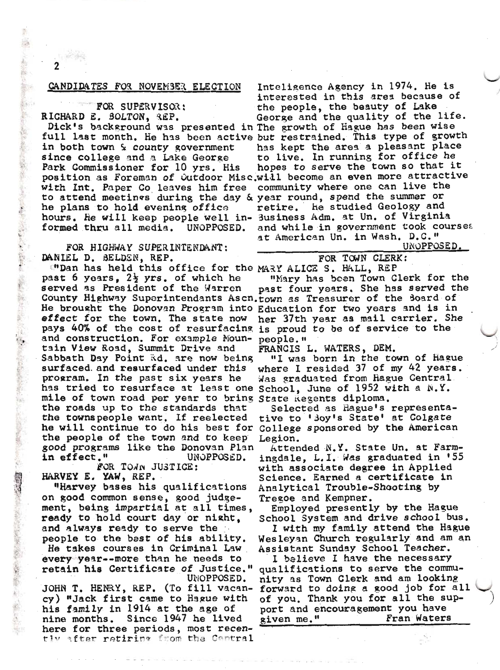## CANDIDATES FOR NOVEMBER ELECTION

FOR SUPERVISOR: RICHARD E. SOLTON, REP.

Dick's background was presented in The growth of Hague has been wise in both town & county government since college and a Lake George Park Commissioner for 10 yrs. His with Int. Paper Co leaves him free to attend meetings during the day & year round, spend the summer or he plans to hold evening office hours. He will keep people well in- 3usiness Adm. at Un. of Virginia formed thru all media. UNOPPOSED.

FOR HIGHWAY SUPERINTENDANT: DANIEL D. BELDEN. REP.

"Dan has held this office for the MARY ALICE S. HALL, REP past 6 years.  $2\frac{1}{2}$  yrs. of which he served as President of the Warren County Highway Superintendants Ascn.town as Treasurer of the Soard of He brought the Donovan Program into Education for two years and is in effect for the town. The state now pays 40% of the cost of resurfacing is proud to be of service to the and construction. For example Mountain View Road, Summit Drive and Sabbath Day Point Rd. are now being surfaced and resurfaced under this program. In the past six years he has tried to resurface at least one School, June of 1952 with a N.Y. mile of town road per year to bring State Regents diploma. the roads up to the standards that the townspeople want. If reelected he will continue to do his best for College sponsored by the American the people of the town and to keep good programs like the Donovan Plan in effect." UNOPPOSED.

FOR TOWN JUSTICE: HARVEY E. YAW, REP.

"Harvey bases his qualifications on good common sense, good judgement, being impartial at all times, ready to hold court day or night, and always ready to serve the people to the bast of his ability.

He takes courses in Criminal Law every year--more than he needs to retain his Certificate of Justice." UNOPPOSED.

JOHN T. HENRY, REP. (To fill vacancy) "Jack first came to Hague with his family in 1914 at the age of nine months. Since 1947 he lived here for three pariods, most recently after retiring from the Contral

Inteligence Agency in 1974. He is interested in this area because of the people, the beauty of Lake George and the quality of the life. full last month. He has been active but restrained. This type of growth has kept the area a pleasant place to live. In running for office he hopes to serve the town so that it position as Foreman of Outdoor Misc.will become an even more attractive community where one can live the retire. he studied Geology and and while in government took courses at American Un. in Wash. D.C."

UNOPPOSED.

FOR TOWN CLERK:

"Mary has been Town Clerk for the past four years. She has served the her 37th year as mail carrier. She people."

FRANCIS L. WATERS, DEM.

"I was born in the town of Hague where I resided 37 of my 42 years. Was graduated from Hague Central

Selected as Hague's representative to '3oy's State' at Colgate Legion.

Attended N.Y. State Un. at Farmingdale, L.I. Was graduated in '55 with associate degree in Applied Science. Earned a certificate in Analytical Trouble-Shooting by Tregoe and Kempner.

Employed presently by the Hague School System and drive school bus.

I with my family attend the Hague Wesleyan Church regularly and am an Assistant Sunday School Teacher.

I believe I have the necessary qualifications to serve the community as Town Clerk and am looking forward to doing a good job for all of you. Thank you for all the support and encouragement you have given me." Fran Waters

f.

**Company of the Second Street, Contract of the Second Street, Second Street, Second Street, Second Street, Second Street, Second Street, Second Street, Second Street, Second Street, Second Street, Second Street, Second Str**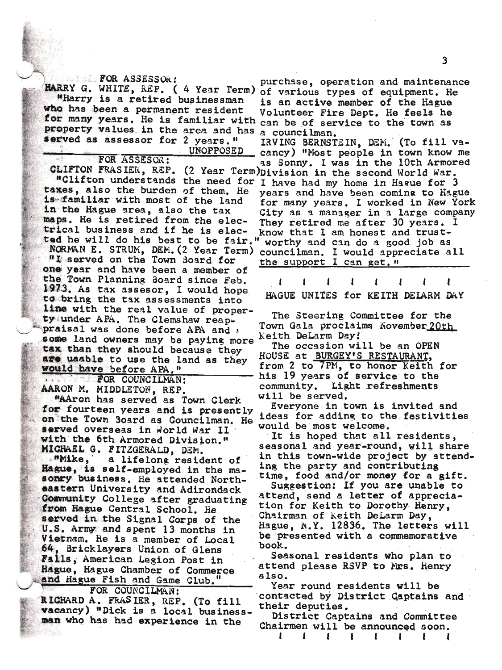**I EXPOR ASSESSOR:** HARRY G. WHITE, REP. ( 4 Year Term) "Harry is a retired businessman who has been a permanent resident for many years. He is familiar with property values in the area and has served as assessor for 2 years." UNOPPOSED

FOR ASSESOR:

taxes, also the burden of them. He is familiar with most of the land in the Hague area, also the tax maps. He is retired from the electrical business and if he is elected he will do his best to be fair." NORMAN E. STRUM, DEM. (2 Year Term) "I served on the Town Board for one year and have been a member of the Town Planning Board since Feb. 1973. As tax assesor, I would hope to bring the tax assessments into line with the real value of property under APA. The Clemshaw reappraisal was done before APA and a some land owners may be paying more tax than they should because they are uaable to use the land as they would have before APA."

... FOR COUNCILMAN: AARON M. MIDDLETON, REP.

"AAron has served as Town Clerk for fourteen years and is presently on the Town Soard as Councilman. He served overseas in World War II with the 6th Armored Division." MICHAEL G. FITZGERALD, DEM.

"Mike, a lifelong resident of Hague, is self-employed in the masonry business. He attended Northeastern University and Adirondack Community College after graduating from Hague Central School. He served in the Signal Corps of the U.S. Army and spent 13 months in Vietnam. He is a member of Local 64, Bricklayers Union of Glens Falls, American Legion Post in Hague, Hague Chamber of Commerce and Hague Fish and Game Club.

FOR COUNCILMAN: RICHARD A. FRASIER, REP. (To fill vacancy) "Dick is a local businessman who has had experience in the

purchase, operation and maintenance of various types of equipment. He is an active member of the Hague Volunteer Fire Dept. He feels he can be of service to the town as a councilman.

IRVING BERNSTEIN, DEM. (To fill vacancy) "Most people in town know me as Sonny. I was in the 10th Armored CLIFTON FRASIER, REP. (2 Year Term) Division in the second World War. "Clifton understands the need for I have had my home in Hague for 3 years and have been coming to Hague for many years. I worked in New York City as a manager in a large company They retired me after 30 years. know that I am honest and trustworthy and can do a good job as councilman. I would appreciate all the support I can get. "

> 1 ı ľ I ı

HAGUE UNITES for KEITH DELARM DAY

The Steering Committee for the Town Gala proclaims November 20th Keith DeLarm Day!

The occasion will be an OPEN HOUSE at BURGEY'S RESTAURANT, from 2 to 7PM, to honor Keith for his 19 years of service to the community. Light refreshments will be served.

Everyone in town is invited and ideas for adding to the festivities would be most welcome.

It is hoped that all residents, seasonal and year-round, will share in this town-wide project by attending the party and contributing time, food and/or money for a gift.

Suggestion: If you are unable to attend, send a letter of appreciation for Keith to Dorothy Henry, Chairman of keith DeLarm Day, Hague, N.Y. 12836. The letters will be presented with a commemorative book.

Seasonal residents who plan to attend please RSVP to Mrs. Henry also.

Year round residents will be contacted by District Captains and their deputies.

District Captains and Committee Chairmen will be announced soon.

> $\mathbf{I}$  $\mathbf{I}$  $\mathbf{r}$  $\mathbf{I}$ r

 $\mathbf{I}$ 

ı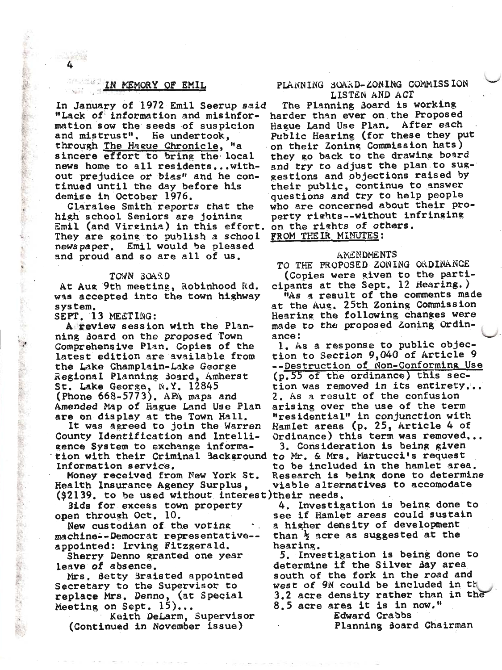# IN MEMORY OF EMIL

In January of 1972 Emil Seerup said "Lack of information and misinformation sow the seeds of suspicion and mistrust". He undertook,  $"a$ through The Hague Chronicle, sincere effort to bring the local news home to all residents...without prejudice or bias" and he continued until the day before his demise in October 1976.

Claralee Smith reports that the high school Seniors are joining Emil (and Virginia) in this effort. They are going to publish a school newspaper. Emil would be pleased and proud and so are all of us.

### TOWN BOARD

At Aug 9th meeting, Robinhood Rd. was accepted into the town highway system.

# SEPT. 13 MEETING:

The first of the second control of the control of

A review session with the Planning doard on the proposed Town Comprehensive Plan. Copies of the latest edition are available from the Lake Champlain-Lake George Regional Planning Board, Amherst St. Lake George, N.Y. 12845 (Phone 668-5773). APA maps and Amended Map of Hague Land Use Plan are on display at the Town Hall.

It was agreed to join the Warren County Identification and Intelligence System to exchange information with their Criminal Background to Mr. & Mrs. Martucci's request Information service.

Money received from New York St. Health Insurance Agency Surplus, (92139, to be used without interest) their needs.

3ids for excess town property onen through Oct. 10.

New custodian of the voting machine--Democrat representative-appointed: Irving Fitzgerald.

Sherry Denno granted one year leave of absence.

Mrs. Betty Braisted appointed Secretary to the Supervisor to replace Mrs. Denno, (at Special Meeting on Sept.  $15$ )...

Keith DeLarm, Supervisor (Continued in November issue)

# PLANNING BOARD-ZONING COMMISSION LISTEN AND ACT

The Planning Board is working harder than ever on the Proposed Hague Land Use Plan. After each Public Hearing (for these they put on their Zoning Commission hats) they go back to the drawing board and try to adjust the plan to suggestions and objections raised by their public, continue to answer questions and try to help people who are concerned about their property rights--without infringing on the rights of others. FROM THE IR MINUTES:

#### **AMENDMENTS**

TO THE PROPOSED ZONING ORDINANCE (Copies were given to the participants at the Sept. 12 Hearing.) "As a result of the comments made at the Aug. 25th Zoning Commission Hearing the following changes were made to the proposed Zoning Ordinance:

1. As a response to public objection to Section 9,040 of Article 9 --Destruction of Non-Conforming Use (p.55 of the ordinance) this section was removed in its entirety... 2. As a result of the confusion arising over the use of the term "residential" in conjunction with Hamlet areas (p. 25, Article 4 of Ordinance) this term was removed...

3. Consideration is being given to be included in the hamlet area. Research is being done to determine viable alternatives to accomodate

4. Investigation is being done to see if Hamlet areas could sustain a higher density of development than  $\frac{1}{2}$  acre as suggested at the hearing.

5. Investigation is being done to determine if the Silver day area south of the fork in the road and west of 9N could be included in th 3.2 acre density rather than in the 8.5 acre area it is in now."

Edward Crabbs

Planning Board Chairman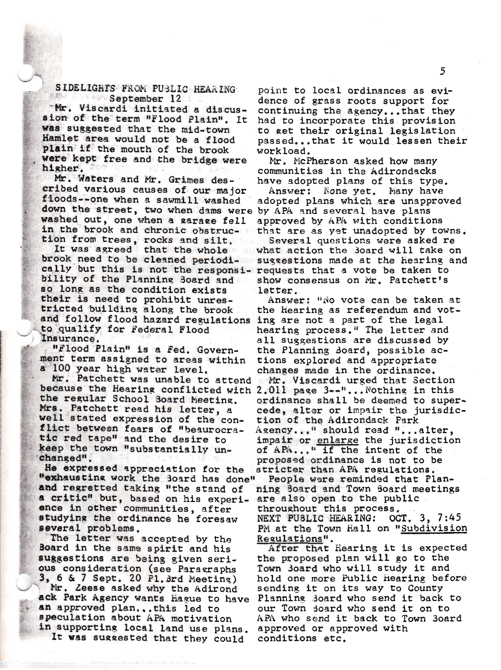# SIDELIGHTS FROM PUBLIC HEARING **September 12**

Mr. Viscardi initiated a discussion of the term "Flood Plain". It was suggested that the mid-town Hamlet area would not be a flood plain if the mouth of the brook were kept free and the bridge were higher.

Mr. Waters and Mr. Grimes described various causes of our major floods--one when a sawmill washed down the street, two when dams were washed out, one when a garage fell in the brook and chronic obstruction from trees, rocks and silt.

It was agreed that the whole brook need to be cleaned periodically but this is not the responsi- requests that a vote be taken to bility of the Planning Board and so long as the condition exists their is need to prohibit unrestricted building along the brook and follow flood hazard regulations to qualify for Federal Flood Insurance,

"Flood Plain" is a Fed. Government term assigned to areas within a 100 year high water level.

Mr. Patchett was unable to attend because the Hearing conflicted with 2.011 page 3--"... Nothing in this the regular School Board Meeting. Mrs. Patchett read his letter, a well stated expression of the conflict between fears of "beaurocratic red tape" and the desire to keep the town "substantially unchanged".

He expressed appreciation for the "exhausting work the Board has done" and regretted taking "the stand of a critic" but, based on his experience in other communities, after studying the ordinance he foresaw several problems.

The letter was accepted by the Board in the same spirit and his suggestions are being given serious consideration (see Paragraphs  $3, 6$  &  $7$  Sept. 20 P1. 3rd Meeting)

Mr. Zeese asked why the Adirond ack Park Agency wants hague to have an approved plan...this led to speculation about APA motivation in supporting local land use plans.

It was suggested that they could

point to local ordinances as evidence of grass roots support for continuing the agency...that they had to incorporate this provision to get their original legislation passed...that it would lessen their workload.

Mr. McPherson asked how many communities in the Adirondacks have adopted plans of this type.

Answer: None yet. Many have adopted plans which are unapproved by APA and several have plans approved by APA with conditions that are as yet unadopted by towns.

Several questions were asked re what action the Board will take on suggestions made at the Hearing and show consensus on Mr. Patchett's latter.

Answer: "No vote can be taken at the Hearing as referendum and voting are not a part of the legal hearing process." The letter and all suggestions are discussed by the Planning doard, possible actions explored and appropriate changes made in the ordinance. Mr. Viscardi urged that Section ordinance shall be deemed to supercede, alter or impair the jurisdiction of the Adirondack Park Agency..." should read "...alter, impair or enlarge the jurisdiction of APA... " if the intent of the proposed ordinance is not to be stricter than APA regulations.

People were reminded that Planning Board and Town Board meetings are also open to the public throughout this process.  $OCT. 3, 7:45$ NEXT PUBLIC HEARING: PM at the Town Hall on "Subdivision Regulations".

After that Hearing it is expected the proposed plan will go to the Town Board who will study it and hold one more Public Hearing before sending it on its way to County Planning Board who send it back to our Town Board who send it on to APA who send it back to Town Board approved or approved with conditions etc.